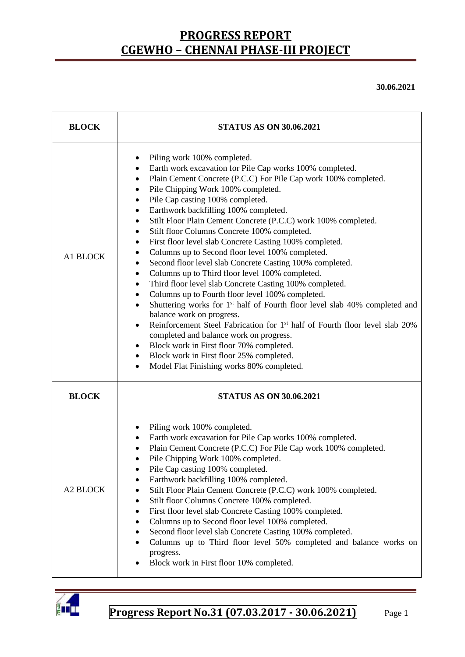**30.06.2021**

| <b>BLOCK</b>    | <b>STATUS AS ON 30.06.2021</b>                                                                                                                                                                                                                                                                                                                                                                                                                                                                                                                                                                                                                                                                                                                                                                                                                                                                                                                                                                                                                                                                                                                                                                                                                                 |  |  |  |  |
|-----------------|----------------------------------------------------------------------------------------------------------------------------------------------------------------------------------------------------------------------------------------------------------------------------------------------------------------------------------------------------------------------------------------------------------------------------------------------------------------------------------------------------------------------------------------------------------------------------------------------------------------------------------------------------------------------------------------------------------------------------------------------------------------------------------------------------------------------------------------------------------------------------------------------------------------------------------------------------------------------------------------------------------------------------------------------------------------------------------------------------------------------------------------------------------------------------------------------------------------------------------------------------------------|--|--|--|--|
| A1 BLOCK        | Piling work 100% completed.<br>Earth work excavation for Pile Cap works 100% completed.<br>٠<br>Plain Cement Concrete (P.C.C) For Pile Cap work 100% completed.<br>٠<br>Pile Chipping Work 100% completed.<br>Pile Cap casting 100% completed.<br>٠<br>Earthwork backfilling 100% completed.<br>٠<br>Stilt Floor Plain Cement Concrete (P.C.C) work 100% completed.<br>٠<br>Stilt floor Columns Concrete 100% completed.<br>٠<br>First floor level slab Concrete Casting 100% completed.<br>٠<br>Columns up to Second floor level 100% completed.<br>٠<br>Second floor level slab Concrete Casting 100% completed.<br>٠<br>Columns up to Third floor level 100% completed.<br>$\bullet$<br>Third floor level slab Concrete Casting 100% completed.<br>٠<br>Columns up to Fourth floor level 100% completed.<br>$\bullet$<br>Shuttering works for 1 <sup>st</sup> half of Fourth floor level slab 40% completed and<br>$\bullet$<br>balance work on progress.<br>Reinforcement Steel Fabrication for 1 <sup>st</sup> half of Fourth floor level slab 20%<br>$\bullet$<br>completed and balance work on progress.<br>Block work in First floor 70% completed.<br>٠<br>Block work in First floor 25% completed.<br>٠<br>Model Flat Finishing works 80% completed. |  |  |  |  |
| <b>BLOCK</b>    | <b>STATUS AS ON 30.06.2021</b>                                                                                                                                                                                                                                                                                                                                                                                                                                                                                                                                                                                                                                                                                                                                                                                                                                                                                                                                                                                                                                                                                                                                                                                                                                 |  |  |  |  |
| <b>A2 BLOCK</b> | Piling work 100% completed.<br>Earth work excavation for Pile Cap works 100% completed.<br>Plain Cement Concrete (P.C.C) For Pile Cap work 100% completed.<br>Pile Chipping Work 100% completed.<br>Pile Cap casting 100% completed.<br>Earthwork backfilling 100% completed.<br>Stilt Floor Plain Cement Concrete (P.C.C) work 100% completed.<br>Stilt floor Columns Concrete 100% completed.<br>٠<br>First floor level slab Concrete Casting 100% completed.<br>٠<br>Columns up to Second floor level 100% completed.<br>Second floor level slab Concrete Casting 100% completed.<br>Columns up to Third floor level 50% completed and balance works on<br>progress.<br>Block work in First floor 10% completed.                                                                                                                                                                                                                                                                                                                                                                                                                                                                                                                                            |  |  |  |  |

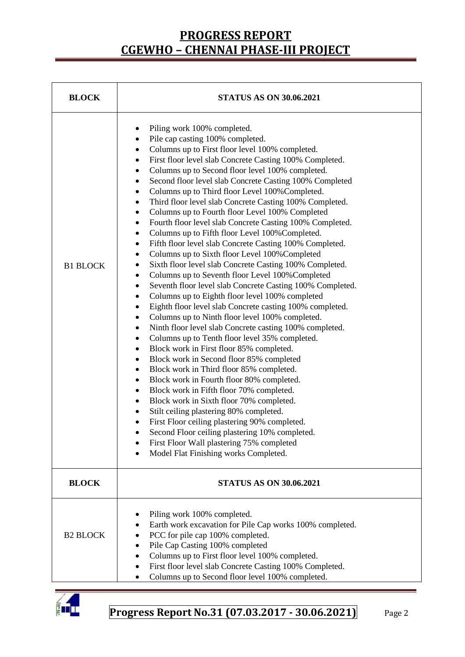| <b>BLOCK</b>    | <b>STATUS AS ON 30.06.2021</b>                                                                                                                                                                                                                                                                                                                                                                                                                                                                                                                                                                                                                                                                                                                                                                                                                                                                                                                                                                                                                                                                                                                                                                                                                                                                                                                                                                                                                                                                                                                                                                                                                                                                                                                                                                                                                                                                                                            |  |  |  |
|-----------------|-------------------------------------------------------------------------------------------------------------------------------------------------------------------------------------------------------------------------------------------------------------------------------------------------------------------------------------------------------------------------------------------------------------------------------------------------------------------------------------------------------------------------------------------------------------------------------------------------------------------------------------------------------------------------------------------------------------------------------------------------------------------------------------------------------------------------------------------------------------------------------------------------------------------------------------------------------------------------------------------------------------------------------------------------------------------------------------------------------------------------------------------------------------------------------------------------------------------------------------------------------------------------------------------------------------------------------------------------------------------------------------------------------------------------------------------------------------------------------------------------------------------------------------------------------------------------------------------------------------------------------------------------------------------------------------------------------------------------------------------------------------------------------------------------------------------------------------------------------------------------------------------------------------------------------------------|--|--|--|
| <b>B1 BLOCK</b> | Piling work 100% completed.<br>٠<br>Pile cap casting 100% completed.<br>$\bullet$<br>Columns up to First floor level 100% completed.<br>٠<br>First floor level slab Concrete Casting 100% Completed.<br>$\bullet$<br>Columns up to Second floor level 100% completed.<br>$\bullet$<br>Second floor level slab Concrete Casting 100% Completed<br>٠<br>Columns up to Third floor Level 100% Completed.<br>٠<br>Third floor level slab Concrete Casting 100% Completed.<br>٠<br>Columns up to Fourth floor Level 100% Completed<br>$\bullet$<br>Fourth floor level slab Concrete Casting 100% Completed.<br>$\bullet$<br>Columns up to Fifth floor Level 100% Completed.<br>$\bullet$<br>Fifth floor level slab Concrete Casting 100% Completed.<br>$\bullet$<br>Columns up to Sixth floor Level 100% Completed<br>$\bullet$<br>Sixth floor level slab Concrete Casting 100% Completed.<br>٠<br>Columns up to Seventh floor Level 100% Completed<br>$\bullet$<br>Seventh floor level slab Concrete Casting 100% Completed.<br>$\bullet$<br>Columns up to Eighth floor level 100% completed<br>$\bullet$<br>Eighth floor level slab Concrete casting 100% completed.<br>$\bullet$<br>Columns up to Ninth floor level 100% completed.<br>$\bullet$<br>Ninth floor level slab Concrete casting 100% completed.<br>$\bullet$<br>Columns up to Tenth floor level 35% completed.<br>$\bullet$<br>Block work in First floor 85% completed.<br>$\bullet$<br>Block work in Second floor 85% completed<br>$\bullet$<br>Block work in Third floor 85% completed.<br>$\bullet$<br>Block work in Fourth floor 80% completed.<br>$\bullet$<br>Block work in Fifth floor 70% completed.<br>٠<br>Block work in Sixth floor 70% completed.<br>$\bullet$<br>Stilt ceiling plastering 80% completed.<br>٠<br>First Floor ceiling plastering 90% completed.<br>٠<br>Second Floor ceiling plastering 10% completed.<br>First Floor Wall plastering 75% completed |  |  |  |
| <b>BLOCK</b>    | <b>STATUS AS ON 30.06.2021</b>                                                                                                                                                                                                                                                                                                                                                                                                                                                                                                                                                                                                                                                                                                                                                                                                                                                                                                                                                                                                                                                                                                                                                                                                                                                                                                                                                                                                                                                                                                                                                                                                                                                                                                                                                                                                                                                                                                            |  |  |  |
| <b>B2 BLOCK</b> | Piling work 100% completed.<br>Earth work excavation for Pile Cap works 100% completed.<br>PCC for pile cap 100% completed.<br>Pile Cap Casting 100% completed<br>Columns up to First floor level 100% completed.<br>First floor level slab Concrete Casting 100% Completed.<br>Columns up to Second floor level 100% completed.                                                                                                                                                                                                                                                                                                                                                                                                                                                                                                                                                                                                                                                                                                                                                                                                                                                                                                                                                                                                                                                                                                                                                                                                                                                                                                                                                                                                                                                                                                                                                                                                          |  |  |  |

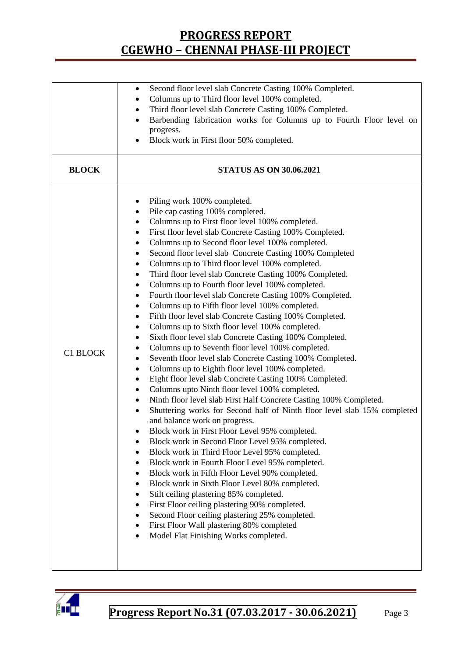|              | Second floor level slab Concrete Casting 100% Completed.<br>٠                                                |  |  |  |  |
|--------------|--------------------------------------------------------------------------------------------------------------|--|--|--|--|
|              | Columns up to Third floor level 100% completed.                                                              |  |  |  |  |
|              | Third floor level slab Concrete Casting 100% Completed.<br>٠                                                 |  |  |  |  |
|              | Barbending fabrication works for Columns up to Fourth Floor level on                                         |  |  |  |  |
|              | progress.                                                                                                    |  |  |  |  |
|              | Block work in First floor 50% completed.                                                                     |  |  |  |  |
|              |                                                                                                              |  |  |  |  |
| <b>BLOCK</b> | <b>STATUS AS ON 30.06.2021</b>                                                                               |  |  |  |  |
|              | Piling work 100% completed.<br>٠                                                                             |  |  |  |  |
|              | Pile cap casting 100% completed.                                                                             |  |  |  |  |
|              | Columns up to First floor level 100% completed.<br>٠                                                         |  |  |  |  |
|              | First floor level slab Concrete Casting 100% Completed.                                                      |  |  |  |  |
|              | Columns up to Second floor level 100% completed.                                                             |  |  |  |  |
|              | Second floor level slab Concrete Casting 100% Completed                                                      |  |  |  |  |
|              | Columns up to Third floor level 100% completed.<br>٠                                                         |  |  |  |  |
|              | Third floor level slab Concrete Casting 100% Completed.<br>٠                                                 |  |  |  |  |
|              | Columns up to Fourth floor level 100% completed.<br>٠                                                        |  |  |  |  |
|              | Fourth floor level slab Concrete Casting 100% Completed.                                                     |  |  |  |  |
|              | Columns up to Fifth floor level 100% completed.                                                              |  |  |  |  |
|              | ٠                                                                                                            |  |  |  |  |
|              | Fifth floor level slab Concrete Casting 100% Completed.                                                      |  |  |  |  |
|              | Columns up to Sixth floor level 100% completed.                                                              |  |  |  |  |
|              | Sixth floor level slab Concrete Casting 100% Completed.<br>Columns up to Seventh floor level 100% completed. |  |  |  |  |
| C1 BLOCK     |                                                                                                              |  |  |  |  |
|              | Seventh floor level slab Concrete Casting 100% Completed.<br>٠                                               |  |  |  |  |
|              | Columns up to Eighth floor level 100% completed.                                                             |  |  |  |  |
|              | Eight floor level slab Concrete Casting 100% Completed.                                                      |  |  |  |  |
|              | Columns upto Ninth floor level 100% completed.                                                               |  |  |  |  |
|              | Ninth floor level slab First Half Concrete Casting 100% Completed.<br>٠                                      |  |  |  |  |
|              | Shuttering works for Second half of Ninth floor level slab 15% completed<br>$\bullet$                        |  |  |  |  |
|              | and balance work on progress.                                                                                |  |  |  |  |
|              | Block work in First Floor Level 95% completed.                                                               |  |  |  |  |
|              | Block work in Second Floor Level 95% completed.                                                              |  |  |  |  |
|              | Block work in Third Floor Level 95% completed.<br>$\bullet$                                                  |  |  |  |  |
|              | Block work in Fourth Floor Level 95% completed.<br>$\bullet$                                                 |  |  |  |  |
|              | Block work in Fifth Floor Level 90% completed.                                                               |  |  |  |  |
|              | Block work in Sixth Floor Level 80% completed.                                                               |  |  |  |  |
|              | Stilt ceiling plastering 85% completed.                                                                      |  |  |  |  |
|              | First Floor ceiling plastering 90% completed.<br>٠                                                           |  |  |  |  |
|              | Second Floor ceiling plastering 25% completed.                                                               |  |  |  |  |
|              | First Floor Wall plastering 80% completed                                                                    |  |  |  |  |
|              | Model Flat Finishing Works completed.                                                                        |  |  |  |  |
|              |                                                                                                              |  |  |  |  |
|              |                                                                                                              |  |  |  |  |
|              |                                                                                                              |  |  |  |  |

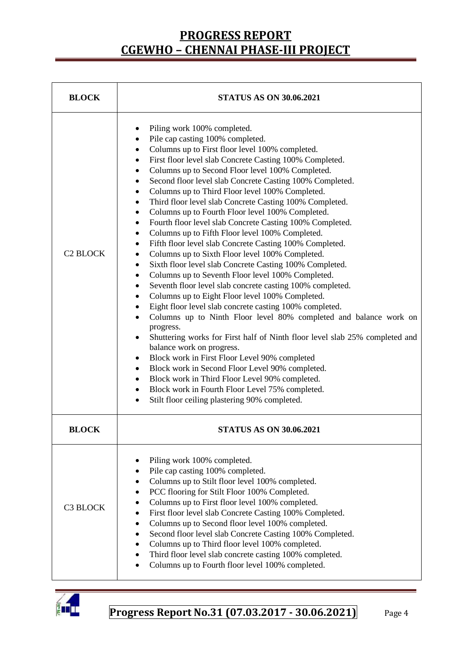| <b>BLOCK</b>    | <b>STATUS AS ON 30.06.2021</b>                                                                                                                                                                                                                                                                                                                                                                                                                                                                                                                                                                                                                                                                                                                                                                                                                                                                                                                                                                                                                                                                                                                                                                                                                                                                                                                                                                                                                                                                                                                                                                                                                                                       |  |  |  |
|-----------------|--------------------------------------------------------------------------------------------------------------------------------------------------------------------------------------------------------------------------------------------------------------------------------------------------------------------------------------------------------------------------------------------------------------------------------------------------------------------------------------------------------------------------------------------------------------------------------------------------------------------------------------------------------------------------------------------------------------------------------------------------------------------------------------------------------------------------------------------------------------------------------------------------------------------------------------------------------------------------------------------------------------------------------------------------------------------------------------------------------------------------------------------------------------------------------------------------------------------------------------------------------------------------------------------------------------------------------------------------------------------------------------------------------------------------------------------------------------------------------------------------------------------------------------------------------------------------------------------------------------------------------------------------------------------------------------|--|--|--|
| <b>C2 BLOCK</b> | Piling work 100% completed.<br>$\bullet$<br>Pile cap casting 100% completed.<br>$\bullet$<br>Columns up to First floor level 100% completed.<br>$\bullet$<br>First floor level slab Concrete Casting 100% Completed.<br>$\bullet$<br>Columns up to Second Floor level 100% Completed.<br>٠<br>Second floor level slab Concrete Casting 100% Completed.<br>٠<br>Columns up to Third Floor level 100% Completed.<br>٠<br>Third floor level slab Concrete Casting 100% Completed.<br>٠<br>Columns up to Fourth Floor level 100% Completed.<br>$\bullet$<br>Fourth floor level slab Concrete Casting 100% Completed.<br>$\bullet$<br>Columns up to Fifth Floor level 100% Completed.<br>$\bullet$<br>Fifth floor level slab Concrete Casting 100% Completed.<br>$\bullet$<br>Columns up to Sixth Floor level 100% Completed.<br>٠<br>Sixth floor level slab Concrete Casting 100% Completed.<br>$\bullet$<br>Columns up to Seventh Floor level 100% Completed.<br>٠<br>Seventh floor level slab concrete casting 100% completed.<br>٠<br>Columns up to Eight Floor level 100% Completed.<br>$\bullet$<br>Eight floor level slab concrete casting 100% completed.<br>$\bullet$<br>Columns up to Ninth Floor level 80% completed and balance work on<br>$\bullet$<br>progress.<br>Shuttering works for First half of Ninth floor level slab 25% completed and<br>$\bullet$<br>balance work on progress.<br>Block work in First Floor Level 90% completed<br>٠<br>Block work in Second Floor Level 90% completed.<br>٠<br>Block work in Third Floor Level 90% completed.<br>٠<br>Block work in Fourth Floor Level 75% completed.<br>٠<br>Stilt floor ceiling plastering 90% completed.<br>٠ |  |  |  |
| <b>BLOCK</b>    | <b>STATUS AS ON 30.06.2021</b>                                                                                                                                                                                                                                                                                                                                                                                                                                                                                                                                                                                                                                                                                                                                                                                                                                                                                                                                                                                                                                                                                                                                                                                                                                                                                                                                                                                                                                                                                                                                                                                                                                                       |  |  |  |
| C3 BLOCK        | Piling work 100% completed.<br>Pile cap casting 100% completed.<br>Columns up to Stilt floor level 100% completed.<br>PCC flooring for Stilt Floor 100% Completed.<br>Columns up to First floor level 100% completed.<br>First floor level slab Concrete Casting 100% Completed.<br>Columns up to Second floor level 100% completed.<br>٠<br>Second floor level slab Concrete Casting 100% Completed.<br>٠<br>Columns up to Third floor level 100% completed.<br>Third floor level slab concrete casting 100% completed.<br>$\bullet$<br>Columns up to Fourth floor level 100% completed.<br>$\bullet$                                                                                                                                                                                                                                                                                                                                                                                                                                                                                                                                                                                                                                                                                                                                                                                                                                                                                                                                                                                                                                                                               |  |  |  |

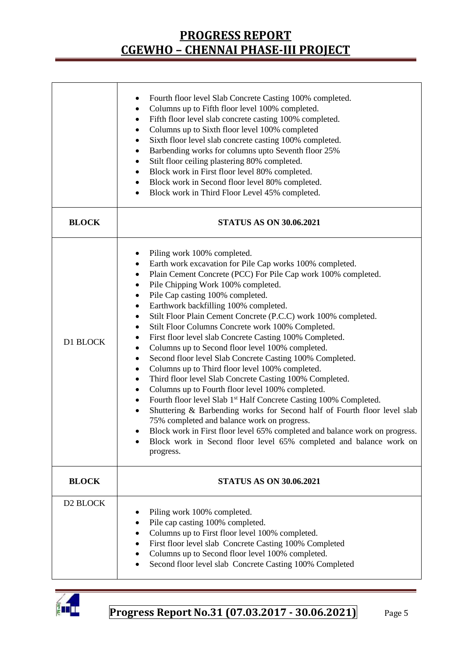|              | Fourth floor level Slab Concrete Casting 100% completed.<br>$\bullet$<br>Columns up to Fifth floor level 100% completed.<br>٠<br>Fifth floor level slab concrete casting 100% completed.<br>$\bullet$<br>Columns up to Sixth floor level 100% completed<br>٠<br>Sixth floor level slab concrete casting 100% completed.<br>$\bullet$<br>Barbending works for columns upto Seventh floor 25%<br>٠<br>Stilt floor ceiling plastering 80% completed.<br>$\bullet$<br>Block work in First floor level 80% completed.<br>٠<br>Block work in Second floor level 80% completed.<br>٠<br>Block work in Third Floor Level 45% completed.<br>٠                                                                                                                                                                                                                                                                                                                                                                                                                                                                                                                                                                                                           |  |  |  |  |
|--------------|------------------------------------------------------------------------------------------------------------------------------------------------------------------------------------------------------------------------------------------------------------------------------------------------------------------------------------------------------------------------------------------------------------------------------------------------------------------------------------------------------------------------------------------------------------------------------------------------------------------------------------------------------------------------------------------------------------------------------------------------------------------------------------------------------------------------------------------------------------------------------------------------------------------------------------------------------------------------------------------------------------------------------------------------------------------------------------------------------------------------------------------------------------------------------------------------------------------------------------------------|--|--|--|--|
| <b>BLOCK</b> | <b>STATUS AS ON 30.06.2021</b>                                                                                                                                                                                                                                                                                                                                                                                                                                                                                                                                                                                                                                                                                                                                                                                                                                                                                                                                                                                                                                                                                                                                                                                                                 |  |  |  |  |
| D1 BLOCK     | Piling work 100% completed.<br>Earth work excavation for Pile Cap works 100% completed.<br>٠<br>Plain Cement Concrete (PCC) For Pile Cap work 100% completed.<br>Pile Chipping Work 100% completed.<br>$\bullet$<br>Pile Cap casting 100% completed.<br>$\bullet$<br>Earthwork backfilling 100% completed.<br>٠<br>Stilt Floor Plain Cement Concrete (P.C.C) work 100% completed.<br>Stilt Floor Columns Concrete work 100% Completed.<br>٠<br>First floor level slab Concrete Casting 100% Completed.<br>٠<br>Columns up to Second floor level 100% completed.<br>٠<br>Second floor level Slab Concrete Casting 100% Completed.<br>٠<br>Columns up to Third floor level 100% completed.<br>٠<br>Third floor level Slab Concrete Casting 100% Completed.<br>$\bullet$<br>Columns up to Fourth floor level 100% completed.<br>$\bullet$<br>Fourth floor level Slab 1 <sup>st</sup> Half Concrete Casting 100% Completed.<br>$\bullet$<br>Shuttering & Barbending works for Second half of Fourth floor level slab<br>$\bullet$<br>75% completed and balance work on progress.<br>Block work in First floor level 65% completed and balance work on progress.<br>Block work in Second floor level 65% completed and balance work on<br>progress. |  |  |  |  |
| <b>BLOCK</b> | <b>STATUS AS ON 30.06.2021</b>                                                                                                                                                                                                                                                                                                                                                                                                                                                                                                                                                                                                                                                                                                                                                                                                                                                                                                                                                                                                                                                                                                                                                                                                                 |  |  |  |  |
| D2 BLOCK     | Piling work 100% completed.<br>٠<br>Pile cap casting 100% completed.<br>Columns up to First floor level 100% completed.<br>First floor level slab Concrete Casting 100% Completed<br>Columns up to Second floor level 100% completed.<br>Second floor level slab Concrete Casting 100% Completed                                                                                                                                                                                                                                                                                                                                                                                                                                                                                                                                                                                                                                                                                                                                                                                                                                                                                                                                               |  |  |  |  |

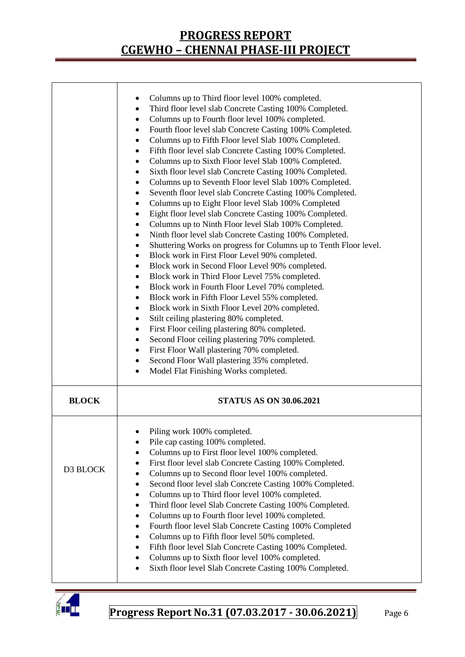|              | Columns up to Third floor level 100% completed.<br>٠<br>Third floor level slab Concrete Casting 100% Completed.<br>$\bullet$<br>Columns up to Fourth floor level 100% completed.<br>٠<br>Fourth floor level slab Concrete Casting 100% Completed.<br>$\bullet$<br>Columns up to Fifth Floor level Slab 100% Completed.<br>$\bullet$<br>Fifth floor level slab Concrete Casting 100% Completed.<br>$\bullet$<br>Columns up to Sixth Floor level Slab 100% Completed.<br>٠<br>Sixth floor level slab Concrete Casting 100% Completed.<br>٠<br>Columns up to Seventh Floor level Slab 100% Completed.<br>٠<br>Seventh floor level slab Concrete Casting 100% Completed.<br>٠<br>Columns up to Eight Floor level Slab 100% Completed<br>٠<br>Eight floor level slab Concrete Casting 100% Completed.<br>٠<br>Columns up to Ninth Floor level Slab 100% Completed.<br>٠<br>Ninth floor level slab Concrete Casting 100% Completed.<br>٠<br>Shuttering Works on progress for Columns up to Tenth Floor level.<br>٠<br>Block work in First Floor Level 90% completed.<br>٠<br>Block work in Second Floor Level 90% completed.<br>٠<br>Block work in Third Floor Level 75% completed.<br>$\bullet$<br>Block work in Fourth Floor Level 70% completed.<br>٠<br>Block work in Fifth Floor Level 55% completed.<br>٠<br>Block work in Sixth Floor Level 20% completed.<br>٠<br>Stilt ceiling plastering 80% completed.<br>$\bullet$<br>First Floor ceiling plastering 80% completed.<br>$\bullet$<br>Second Floor ceiling plastering 70% completed.<br>٠<br>First Floor Wall plastering 70% completed.<br>٠<br>Second Floor Wall plastering 35% completed.<br>$\bullet$<br>Model Flat Finishing Works completed.<br>$\bullet$ |
|--------------|--------------------------------------------------------------------------------------------------------------------------------------------------------------------------------------------------------------------------------------------------------------------------------------------------------------------------------------------------------------------------------------------------------------------------------------------------------------------------------------------------------------------------------------------------------------------------------------------------------------------------------------------------------------------------------------------------------------------------------------------------------------------------------------------------------------------------------------------------------------------------------------------------------------------------------------------------------------------------------------------------------------------------------------------------------------------------------------------------------------------------------------------------------------------------------------------------------------------------------------------------------------------------------------------------------------------------------------------------------------------------------------------------------------------------------------------------------------------------------------------------------------------------------------------------------------------------------------------------------------------------------------------------------------------------------------------------------------------|
| <b>BLOCK</b> | <b>STATUS AS ON 30.06.2021</b>                                                                                                                                                                                                                                                                                                                                                                                                                                                                                                                                                                                                                                                                                                                                                                                                                                                                                                                                                                                                                                                                                                                                                                                                                                                                                                                                                                                                                                                                                                                                                                                                                                                                                     |
| D3 BLOCK     | Piling work 100% completed.<br>Pile cap casting 100% completed.<br>$\bullet$<br>Columns up to First floor level 100% completed.<br>$\bullet$<br>First floor level slab Concrete Casting 100% Completed.<br>٠<br>Columns up to Second floor level 100% completed.<br>$\bullet$<br>Second floor level slab Concrete Casting 100% Completed.<br>٠<br>Columns up to Third floor level 100% completed.<br>$\bullet$<br>Third floor level Slab Concrete Casting 100% Completed.<br>٠<br>Columns up to Fourth floor level 100% completed.<br>$\bullet$<br>Fourth floor level Slab Concrete Casting 100% Completed<br>٠<br>Columns up to Fifth floor level 50% completed.<br>$\bullet$<br>Fifth floor level Slab Concrete Casting 100% Completed.<br>٠<br>Columns up to Sixth floor level 100% completed.<br>$\bullet$<br>Sixth floor level Slab Concrete Casting 100% Completed.<br>٠                                                                                                                                                                                                                                                                                                                                                                                                                                                                                                                                                                                                                                                                                                                                                                                                                                     |

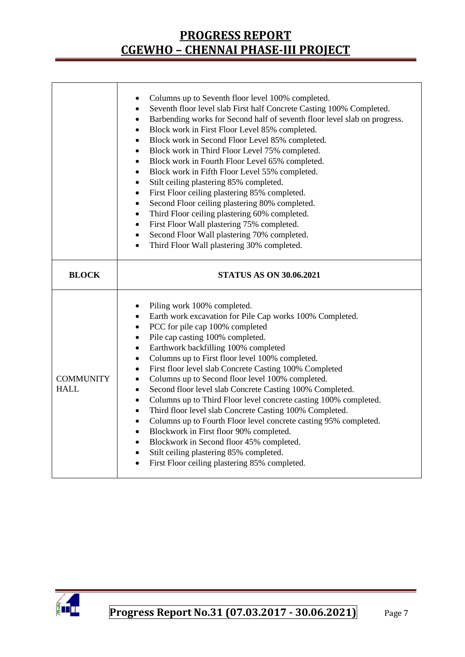|                                 | Columns up to Seventh floor level 100% completed.<br>$\bullet$<br>Seventh floor level slab First half Concrete Casting 100% Completed.<br>$\bullet$<br>Barbending works for Second half of seventh floor level slab on progress.<br>$\bullet$<br>Block work in First Floor Level 85% completed.<br>$\bullet$<br>Block work in Second Floor Level 85% completed.<br>$\bullet$<br>Block work in Third Floor Level 75% completed.<br>$\bullet$<br>Block work in Fourth Floor Level 65% completed.<br>$\bullet$<br>Block work in Fifth Floor Level 55% completed.<br>٠<br>Stilt ceiling plastering 85% completed.<br>٠<br>First Floor ceiling plastering 85% completed.<br>$\bullet$<br>Second Floor ceiling plastering 80% completed.<br>$\bullet$<br>Third Floor ceiling plastering 60% completed.<br>$\bullet$<br>First Floor Wall plastering 75% completed.<br>$\bullet$<br>Second Floor Wall plastering 70% completed.<br>$\bullet$<br>Third Floor Wall plastering 30% completed.<br>$\bullet$                                   |
|---------------------------------|-----------------------------------------------------------------------------------------------------------------------------------------------------------------------------------------------------------------------------------------------------------------------------------------------------------------------------------------------------------------------------------------------------------------------------------------------------------------------------------------------------------------------------------------------------------------------------------------------------------------------------------------------------------------------------------------------------------------------------------------------------------------------------------------------------------------------------------------------------------------------------------------------------------------------------------------------------------------------------------------------------------------------------------|
| <b>BLOCK</b>                    | <b>STATUS AS ON 30.06.2021</b>                                                                                                                                                                                                                                                                                                                                                                                                                                                                                                                                                                                                                                                                                                                                                                                                                                                                                                                                                                                                    |
| <b>COMMUNITY</b><br><b>HALL</b> | Piling work 100% completed.<br>٠<br>Earth work excavation for Pile Cap works 100% Completed.<br>$\bullet$<br>PCC for pile cap 100% completed<br>$\bullet$<br>Pile cap casting 100% completed.<br>$\bullet$<br>Earthwork backfilling 100% completed<br>$\bullet$<br>Columns up to First floor level 100% completed.<br>$\bullet$<br>First floor level slab Concrete Casting 100% Completed<br>$\bullet$<br>Columns up to Second floor level 100% completed.<br>$\bullet$<br>Second floor level slab Concrete Casting 100% Completed.<br>$\bullet$<br>Columns up to Third Floor level concrete casting 100% completed.<br>$\bullet$<br>Third floor level slab Concrete Casting 100% Completed.<br>$\bullet$<br>Columns up to Fourth Floor level concrete casting 95% completed.<br>$\bullet$<br>Blockwork in First floor 90% completed.<br>$\bullet$<br>Blockwork in Second floor 45% completed.<br>$\bullet$<br>Stilt ceiling plastering 85% completed.<br>$\bullet$<br>First Floor ceiling plastering 85% completed.<br>$\bullet$ |

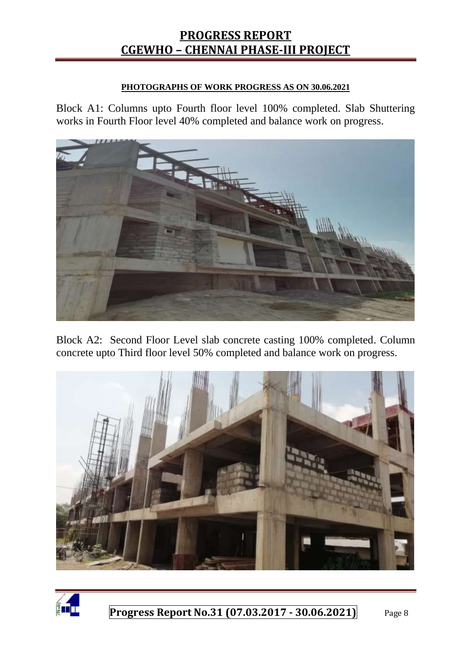#### **PHOTOGRAPHS OF WORK PROGRESS AS ON 30.06.2021**

Block A1: Columns upto Fourth floor level 100% completed. Slab Shuttering works in Fourth Floor level 40% completed and balance work on progress.



Block A2: Second Floor Level slab concrete casting 100% completed. Column concrete upto Third floor level 50% completed and balance work on progress.



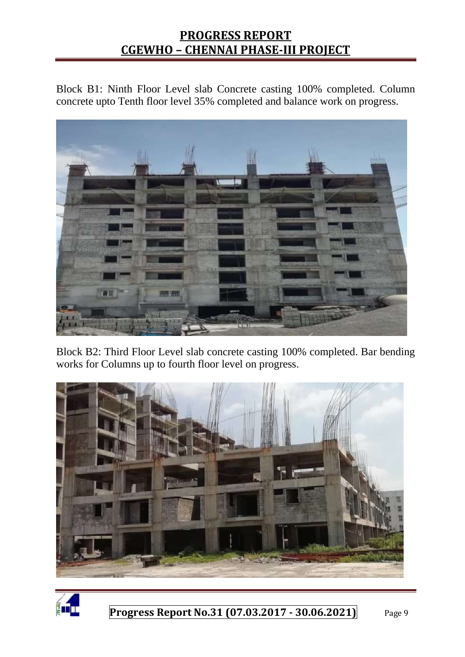Block B1: Ninth Floor Level slab Concrete casting 100% completed. Column concrete upto Tenth floor level 35% completed and balance work on progress.



Block B2: Third Floor Level slab concrete casting 100% completed. Bar bending works for Columns up to fourth floor level on progress.



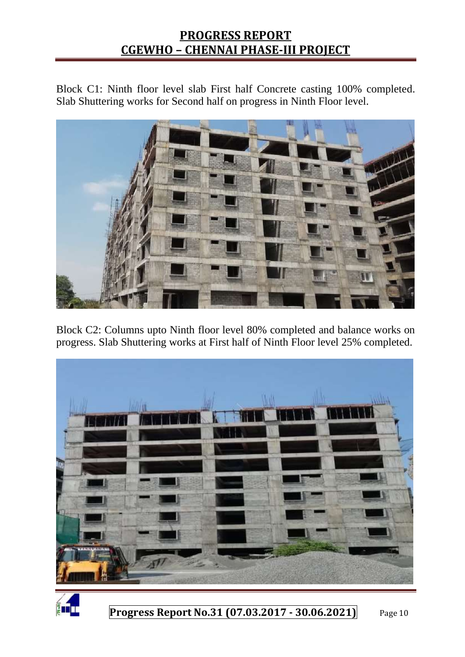Block C1: Ninth floor level slab First half Concrete casting 100% completed. Slab Shuttering works for Second half on progress in Ninth Floor level.



Block C2: Columns upto Ninth floor level 80% completed and balance works on progress. Slab Shuttering works at First half of Ninth Floor level 25% completed.



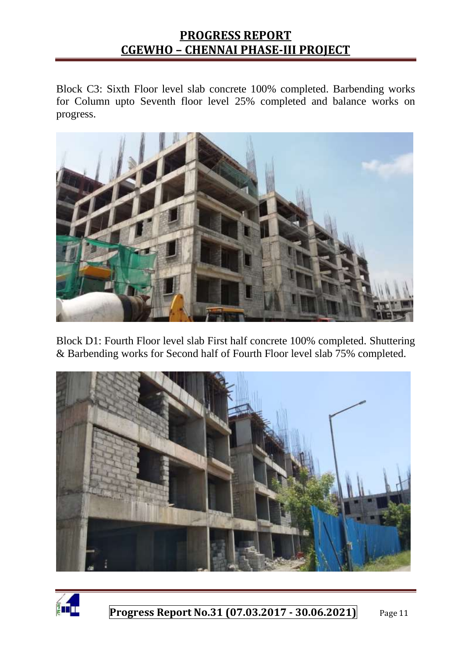Block C3: Sixth Floor level slab concrete 100% completed. Barbending works for Column upto Seventh floor level 25% completed and balance works on progress.



Block D1: Fourth Floor level slab First half concrete 100% completed. Shuttering & Barbending works for Second half of Fourth Floor level slab 75% completed.



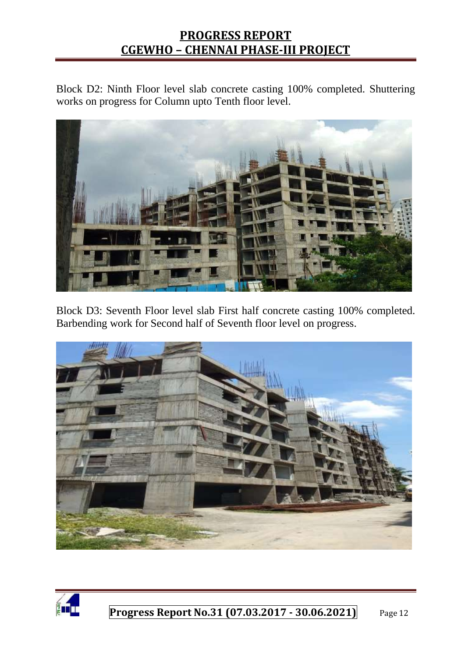Block D2: Ninth Floor level slab concrete casting 100% completed. Shuttering works on progress for Column upto Tenth floor level.



Block D3: Seventh Floor level slab First half concrete casting 100% completed. Barbending work for Second half of Seventh floor level on progress.



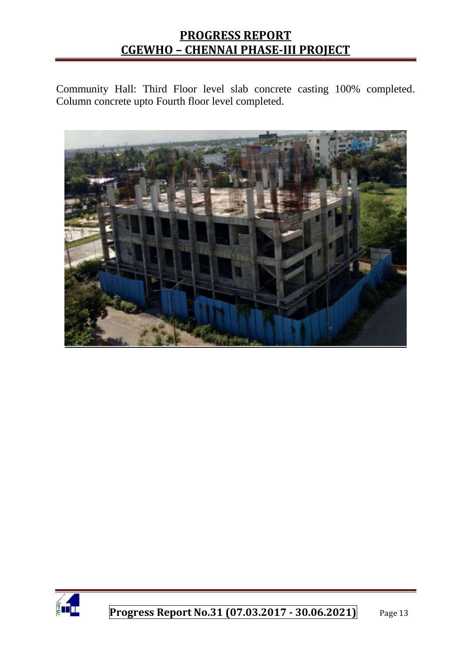Community Hall: Third Floor level slab concrete casting 100% completed. Column concrete upto Fourth floor level completed.



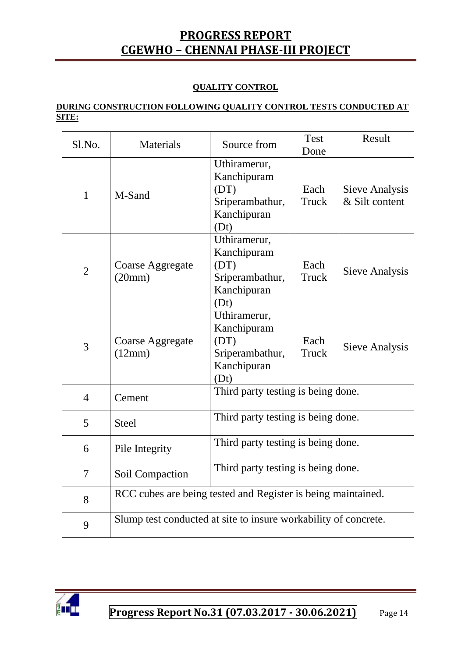#### **QUALITY CONTROL**

#### **DURING CONSTRUCTION FOLLOWING QUALITY CONTROL TESTS CONDUCTED AT SITE:**

| Sl.No.         | Materials                                                       | Source from                                                                   | Test<br>Done  | Result                           |
|----------------|-----------------------------------------------------------------|-------------------------------------------------------------------------------|---------------|----------------------------------|
| $\mathbf{1}$   | M-Sand                                                          | Uthiramerur,<br>Kanchipuram<br>(DT)<br>Sriperambathur,<br>Kanchipuran<br>(Dt) | Each<br>Truck | Sieve Analysis<br>& Silt content |
| $\overline{2}$ | Coarse Aggregate<br>(20mm)                                      | Uthiramerur,<br>Kanchipuram<br>(DT)<br>Sriperambathur,<br>Kanchipuran<br>(Dt) | Each<br>Truck | <b>Sieve Analysis</b>            |
| $\overline{3}$ | Coarse Aggregate<br>(12mm)                                      | Uthiramerur,<br>Kanchipuram<br>(DT)<br>Sriperambathur,<br>Kanchipuran<br>(Dt) | Each<br>Truck | Sieve Analysis                   |
| $\overline{4}$ | Cement                                                          | Third party testing is being done.                                            |               |                                  |
| 5              | <b>Steel</b>                                                    | Third party testing is being done.                                            |               |                                  |
| 6              | Pile Integrity                                                  | Third party testing is being done.                                            |               |                                  |
| $\overline{7}$ | Soil Compaction                                                 | Third party testing is being done.                                            |               |                                  |
| 8              | RCC cubes are being tested and Register is being maintained.    |                                                                               |               |                                  |
| 9              | Slump test conducted at site to insure workability of concrete. |                                                                               |               |                                  |

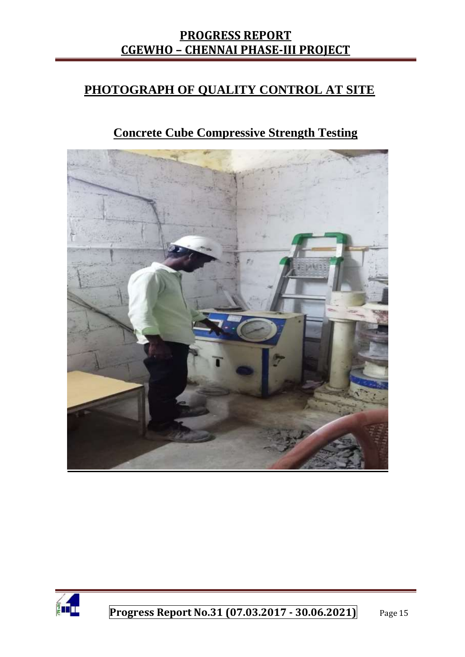### **PHOTOGRAPH OF QUALITY CONTROL AT SITE**

# **Concrete Cube Compressive Strength Testing**



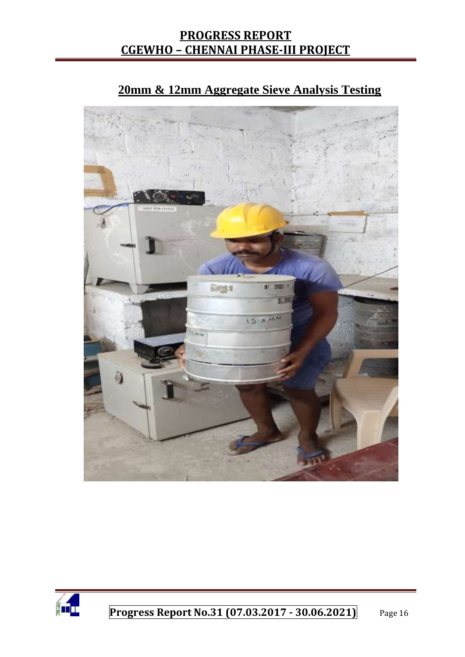

# **20mm & 12mm Aggregate Sieve Analysis Testing**